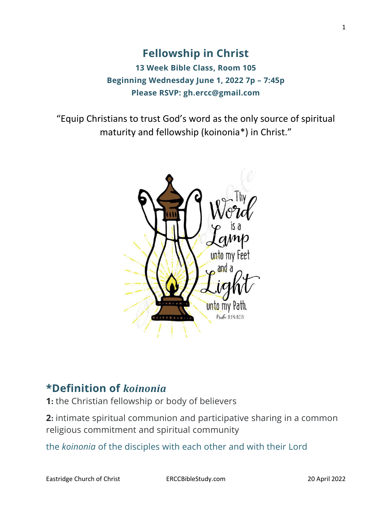**Fellowship in Christ 13 Week Bible Class, Room 105 Beginning Wednesday June 1, 2022 7p – 7:45p Please RSVP: gh.ercc@gmail.com**

"Equip Christians to trust God's word as the only source of spiritual maturity and fellowship (koinonia\*) in Christ."



## **\*Definition of** *koinonia*

**1:** the Christian fellowship or body of believers

**2:** intimate spiritual communion and participative sharing in a common religious commitment and spiritual community

the *koinonia* of the disciples with each other and with their Lord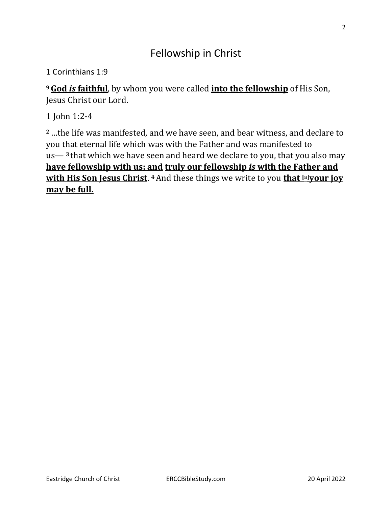# Fellowship in Christ

1 Corinthians 1:9

**<sup>9</sup>God** *is* **faithful**, by whom you were called **into the fellowship** of His Son, Jesus Christ our Lord.

1 John 1:2-4

**<sup>2</sup>**…the life was manifested, and we have seen, and bear witness, and declare to you that eternal life which was with the Father and was manifested to us— **<sup>3</sup>** that which we have seen and heard we declare to you, that you also may **have fellowship with us; and truly our fellowship** *is* **with the Father and with His Son Jesus Christ**. **<sup>4</sup>**And these things we write to you **that [\[a\]](https://www.biblegateway.com/passage/?search=1+John+1%3A2-4&version=NKJV#fen-NKJV-30545a)your joy may be full.**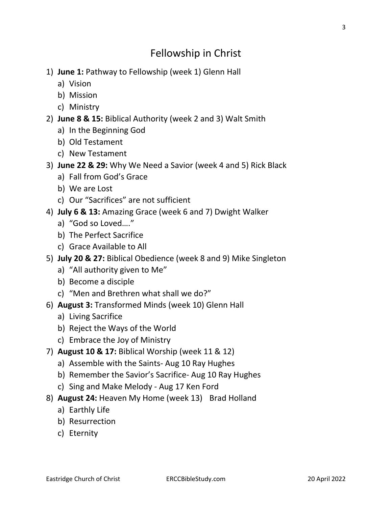# Fellowship in Christ

- 1) **June 1:** Pathway to Fellowship (week 1) Glenn Hall
	- a) Vision
	- b) Mission
	- c) Ministry
- 2) **June 8 & 15:** Biblical Authority (week 2 and 3) Walt Smith
	- a) In the Beginning God
	- b) Old Testament
	- c) New Testament
- 3) **June 22 & 29:** Why We Need a Savior (week 4 and 5) Rick Black
	- a) Fall from God's Grace
	- b) We are Lost
	- c) Our "Sacrifices" are not sufficient
- 4) **July 6 & 13:** Amazing Grace (week 6 and 7) Dwight Walker
	- a) "God so Loved…."
	- b) The Perfect Sacrifice
	- c) Grace Available to All
- 5) **July 20 & 27:** Biblical Obedience (week 8 and 9) Mike Singleton
	- a) "All authority given to Me"
	- b) Become a disciple
	- c) "Men and Brethren what shall we do?"
- 6) **August 3:** Transformed Minds (week 10) Glenn Hall
	- a) Living Sacrifice
	- b) Reject the Ways of the World
	- c) Embrace the Joy of Ministry
- 7) **August 10 & 17:** Biblical Worship (week 11 & 12)
	- a) Assemble with the Saints- Aug 10 Ray Hughes
	- b) Remember the Savior's Sacrifice- Aug 10 Ray Hughes
	- c) Sing and Make Melody Aug 17 Ken Ford
- 8) **August 24:** Heaven My Home (week 13) Brad Holland
	- a) Earthly Life
	- b) Resurrection
	- c) Eternity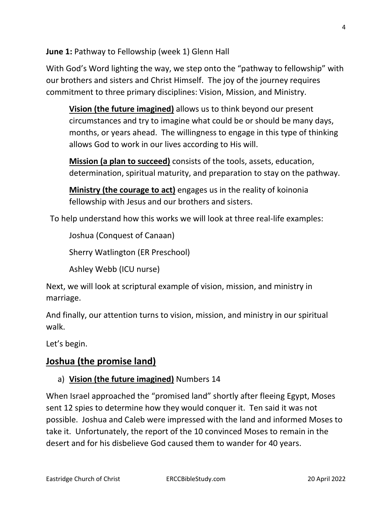**June 1:** Pathway to Fellowship (week 1) Glenn Hall

With God's Word lighting the way, we step onto the "pathway to fellowship" with our brothers and sisters and Christ Himself. The joy of the journey requires commitment to three primary disciplines: Vision, Mission, and Ministry.

**Vision (the future imagined)** allows us to think beyond our present circumstances and try to imagine what could be or should be many days, months, or years ahead. The willingness to engage in this type of thinking allows God to work in our lives according to His will.

**Mission (a plan to succeed)** consists of the tools, assets, education, determination, spiritual maturity, and preparation to stay on the pathway.

**Ministry (the courage to act)** engages us in the reality of koinonia fellowship with Jesus and our brothers and sisters.

To help understand how this works we will look at three real-life examples:

Joshua (Conquest of Canaan)

Sherry Watlington (ER Preschool)

Ashley Webb (ICU nurse)

Next, we will look at scriptural example of vision, mission, and ministry in marriage.

And finally, our attention turns to vision, mission, and ministry in our spiritual walk.

Let's begin.

## **Joshua (the promise land)**

## a) **Vision (the future imagined)** Numbers 14

When Israel approached the "promised land" shortly after fleeing Egypt, Moses sent 12 spies to determine how they would conquer it. Ten said it was not possible. Joshua and Caleb were impressed with the land and informed Moses to take it. Unfortunately, the report of the 10 convinced Moses to remain in the desert and for his disbelieve God caused them to wander for 40 years.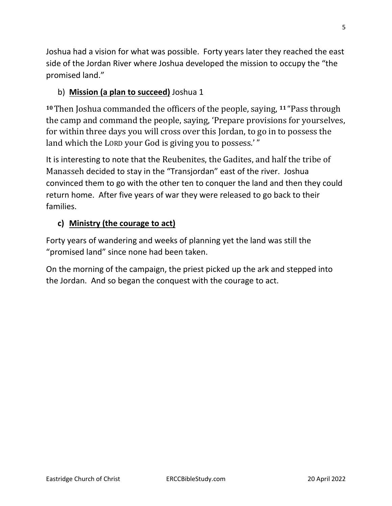Joshua had a vision for what was possible. Forty years later they reached the east side of the Jordan River where Joshua developed the mission to occupy the "the promised land."

## b) **Mission (a plan to succeed)** Joshua 1

**<sup>10</sup>**Then Joshua commanded the officers of the people, saying, **<sup>11</sup>** "Pass through the camp and command the people, saying, 'Prepare provisions for yourselves, for within three days you will cross over this Jordan, to go in to possess the land which the LORD your God is giving you to possess.'"

It is interesting to note that the Reubenites, the Gadites, and half the tribe of Manasseh decided to stay in the "Transjordan" east of the river. Joshua convinced them to go with the other ten to conquer the land and then they could return home. After five years of war they were released to go back to their families.

## **c) Ministry (the courage to act)**

Forty years of wandering and weeks of planning yet the land was still the "promised land" since none had been taken.

On the morning of the campaign, the priest picked up the ark and stepped into the Jordan. And so began the conquest with the courage to act.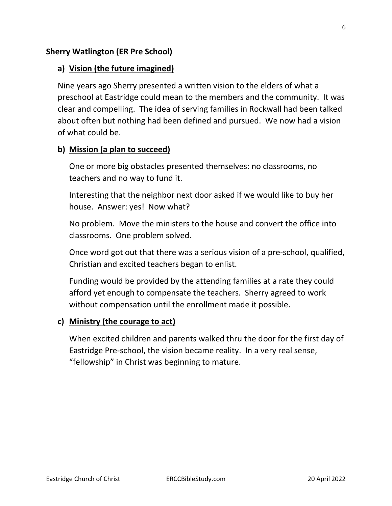#### **Sherry Watlington (ER Pre School)**

#### **a) Vision (the future imagined)**

Nine years ago Sherry presented a written vision to the elders of what a preschool at Eastridge could mean to the members and the community. It was clear and compelling. The idea of serving families in Rockwall had been talked about often but nothing had been defined and pursued. We now had a vision of what could be.

#### **b) Mission (a plan to succeed)**

One or more big obstacles presented themselves: no classrooms, no teachers and no way to fund it.

Interesting that the neighbor next door asked if we would like to buy her house. Answer: yes! Now what?

No problem. Move the ministers to the house and convert the office into classrooms. One problem solved.

Once word got out that there was a serious vision of a pre-school, qualified, Christian and excited teachers began to enlist.

Funding would be provided by the attending families at a rate they could afford yet enough to compensate the teachers. Sherry agreed to work without compensation until the enrollment made it possible.

#### **c) Ministry (the courage to act)**

When excited children and parents walked thru the door for the first day of Eastridge Pre-school, the vision became reality. In a very real sense, "fellowship" in Christ was beginning to mature.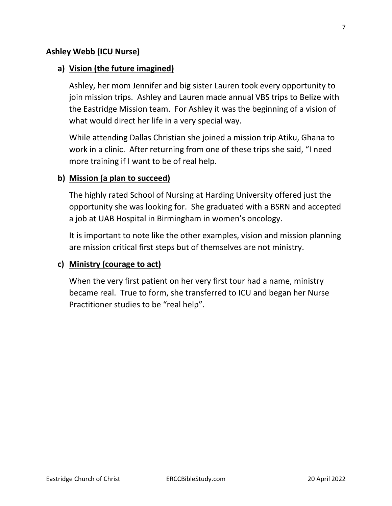#### **Ashley Webb (ICU Nurse)**

#### **a) Vision (the future imagined)**

Ashley, her mom Jennifer and big sister Lauren took every opportunity to join mission trips. Ashley and Lauren made annual VBS trips to Belize with the Eastridge Mission team. For Ashley it was the beginning of a vision of what would direct her life in a very special way.

While attending Dallas Christian she joined a mission trip Atiku, Ghana to work in a clinic. After returning from one of these trips she said, "I need more training if I want to be of real help.

#### **b) Mission (a plan to succeed)**

The highly rated School of Nursing at Harding University offered just the opportunity she was looking for. She graduated with a BSRN and accepted a job at UAB Hospital in Birmingham in women's oncology.

It is important to note like the other examples, vision and mission planning are mission critical first steps but of themselves are not ministry.

#### **c) Ministry (courage to act)**

When the very first patient on her very first tour had a name, ministry became real. True to form, she transferred to ICU and began her Nurse Practitioner studies to be "real help".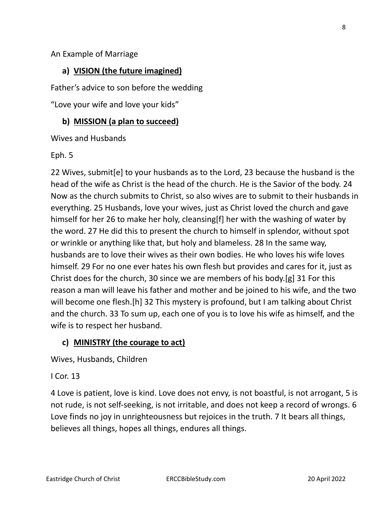#### An Example of Marriage

## **a) VISION (the future imagined)**

Father's advice to son before the wedding

"Love your wife and love your kids"

#### **b) MISSION (a plan to succeed)**

Wives and Husbands

#### Eph. 5

22 Wives, submit[e] to your husbands as to the Lord, 23 because the husband is the head of the wife as Christ is the head of the church. He is the Savior of the body. 24 Now as the church submits to Christ, so also wives are to submit to their husbands in everything. 25 Husbands, love your wives, just as Christ loved the church and gave himself for her 26 to make her holy, cleansing[f] her with the washing of water by the word. 27 He did this to present the church to himself in splendor, without spot or wrinkle or anything like that, but holy and blameless. 28 In the same way, husbands are to love their wives as their own bodies. He who loves his wife loves himself. 29 For no one ever hates his own flesh but provides and cares for it, just as Christ does for the church, 30 since we are members of his body.[g] 31 For this reason a man will leave his father and mother and be joined to his wife, and the two will become one flesh.[h] 32 This mystery is profound, but I am talking about Christ and the church. 33 To sum up, each one of you is to love his wife as himself, and the wife is to respect her husband.

#### **c) MINISTRY (the courage to act)**

Wives, Husbands, Children

#### I Cor. 13

4 Love is patient, love is kind. Love does not envy, is not boastful, is not arrogant, 5 is not rude, is not self-seeking, is not irritable, and does not keep a record of wrongs. 6 Love finds no joy in unrighteousness but rejoices in the truth. 7 It bears all things, believes all things, hopes all things, endures all things.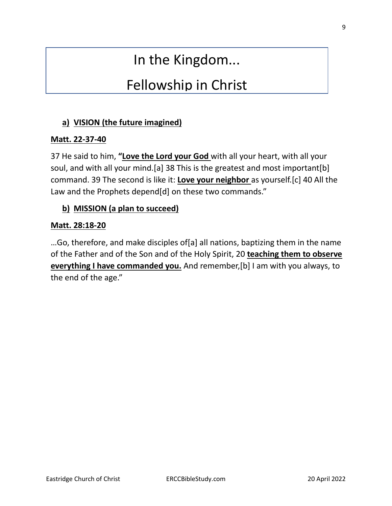# In the Kingdom...

# Fellowship in Christ

## **a) VISION (the future imagined)**

## **Matt. 22-37-40**

37 He said to him, **"Love the Lord your God** with all your heart, with all your soul, and with all your mind.[a] 38 This is the greatest and most important[b] command. 39 The second is like it: **Love your neighbor** as yourself.[c] 40 All the Law and the Prophets depend[d] on these two commands."

## **b) MISSION (a plan to succeed)**

#### **Matt. 28:18-20**

…Go, therefore, and make disciples of[a] all nations, baptizing them in the name of the Father and of the Son and of the Holy Spirit, 20 **teaching them to observe everything I have commanded you.** And remember,[b] I am with you always, to the end of the age."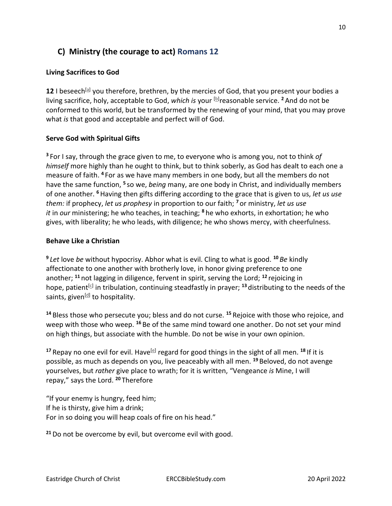## **C) Ministry (the courage to act) Romans 12**

#### **Living Sacrifices to God**

12 I beseech<sup>[\[a\]](https://www.biblegateway.com/passage/?search=romans+12&version=NKJV#fen-NKJV-28247a)</sup> you therefore, brethren, by the mercies of God, that you present your bodies a living sacrifice, holy, acceptable to God, *which is* your [\[b\]](https://www.biblegateway.com/passage/?search=romans+12&version=NKJV#fen-NKJV-28247b) reasonable service. **<sup>2</sup>** And do not be conformed to this world, but be transformed by the renewing of your mind, that you may prove what *is* that good and acceptable and perfect will of God.

#### **Serve God with Spiritual Gifts**

**<sup>3</sup>** For I say, through the grace given to me, to everyone who is among you, not to think *of himself* more highly than he ought to think, but to think soberly, as God has dealt to each one a measure of faith. **<sup>4</sup>** For as we have many members in one body, but all the members do not have the same function, **<sup>5</sup>** so we, *being* many, are one body in Christ, and individually members of one another. **<sup>6</sup>**Having then gifts differing according to the grace that is given to us, *let us use them:* if prophecy, *let us prophesy* in proportion to our faith; **<sup>7</sup>** or ministry, *let us use it* in *our* ministering; he who teaches, in teaching; **<sup>8</sup>** he who exhorts, in exhortation; he who gives, with liberality; he who leads, with diligence; he who shows mercy, with cheerfulness.

#### **Behave Like a Christian**

**9** *Let* love *be* without hypocrisy. Abhor what is evil. Cling to what is good. **<sup>10</sup>** *Be* kindly affectionate to one another with brotherly love, in honor giving preference to one another; **<sup>11</sup>** not lagging in diligence, fervent in spirit, serving the Lord; **<sup>12</sup>** rejoicing in hope, patient<sup>[\[c\]](https://www.biblegateway.com/passage/?search=romans+12&version=NKJV#fen-NKJV-28258c)</sup> in tribulation, continuing steadfastly in prayer; <sup>13</sup> distributing to the needs of the saints, given<sup>[<u>d</u>]</sup> to hospitality.

**<sup>14</sup>** Bless those who persecute you; bless and do not curse. **<sup>15</sup>** Rejoice with those who rejoice, and weep with those who weep. **<sup>16</sup>** Be of the same mind toward one another. Do not set your mind on high things, but associate with the humble. Do not be wise in your own opinion.

<sup>17</sup> Repay no one evil for evil. Have<sup>[\[e\]](https://www.biblegateway.com/passage/?search=romans+12&version=NKJV#fen-NKJV-28263e)</sup> regard for good things in the sight of all men. <sup>18</sup> If it is possible, as much as depends on you, live peaceably with all men. **<sup>19</sup>** Beloved, do not avenge yourselves, but *rather* give place to wrath; for it is written, "Vengeance *is* Mine, I will repay," says the Lord. **<sup>20</sup>** Therefore

"If your enemy is hungry, feed him; If he is thirsty, give him a drink; For in so doing you will heap coals of fire on his head."

**<sup>21</sup>**Do not be overcome by evil, but overcome evil with good.